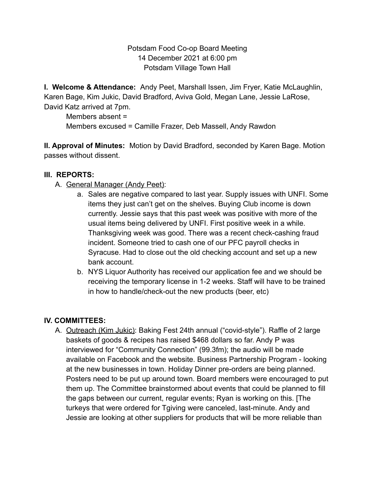Potsdam Food Co-op Board Meeting 14 December 2021 at 6:00 pm Potsdam Village Town Hall

**I. Welcome & Attendance:** Andy Peet, Marshall Issen, Jim Fryer, Katie McLaughlin, Karen Bage, Kim Jukic, David Bradford, Aviva Gold, Megan Lane, Jessie LaRose, David Katz arrived at 7pm.

Members absent = Members excused = Camille Frazer, Deb Massell, Andy Rawdon

**II. Approval of Minutes:** Motion by David Bradford, seconded by Karen Bage. Motion passes without dissent.

## **III. REPORTS:**

- A. General Manager (Andy Peet):
	- a. Sales are negative compared to last year. Supply issues with UNFI. Some items they just can't get on the shelves. Buying Club income is down currently. Jessie says that this past week was positive with more of the usual items being delivered by UNFI. First positive week in a while. Thanksgiving week was good. There was a recent check-cashing fraud incident. Someone tried to cash one of our PFC payroll checks in Syracuse. Had to close out the old checking account and set up a new bank account.
	- b. NYS Liquor Authority has received our application fee and we should be receiving the temporary license in 1-2 weeks. Staff will have to be trained in how to handle/check-out the new products (beer, etc)

## **IV. COMMITTEES:**

A. Outreach (Kim Jukic): Baking Fest 24th annual ("covid-style"). Raffle of 2 large baskets of goods & recipes has raised \$468 dollars so far. Andy P was interviewed for "Community Connection" (99.3fm); the audio will be made available on Facebook and the website. Business Partnership Program - looking at the new businesses in town. Holiday Dinner pre-orders are being planned. Posters need to be put up around town. Board members were encouraged to put them up. The Committee brainstormed about events that could be planned to fill the gaps between our current, regular events; Ryan is working on this. [The turkeys that were ordered for Tgiving were canceled, last-minute. Andy and Jessie are looking at other suppliers for products that will be more reliable than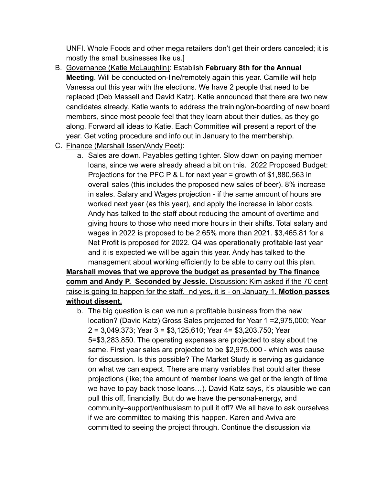UNFI. Whole Foods and other mega retailers don't get their orders canceled; it is mostly the small businesses like us.]

- B. Governance (Katie McLaughlin): Establish **February 8th for the Annual Meeting**. Will be conducted on-line/remotely again this year. Camille will help Vanessa out this year with the elections. We have 2 people that need to be replaced (Deb Massell and David Katz). Katie announced that there are two new candidates already. Katie wants to address the training/on-boarding of new board members, since most people feel that they learn about their duties, as they go along. Forward all ideas to Katie. Each Committee will present a report of the year. Get voting procedure and info out in January to the membership.
- C. Finance (Marshall Issen/Andy Peet):
	- a. Sales are down. Payables getting tighter. Slow down on paying member loans, since we were already ahead a bit on this. 2022 Proposed Budget: Projections for the PFC P & L for next year = growth of \$1,880,563 in overall sales (this includes the proposed new sales of beer). 8% increase in sales. Salary and Wages projection - if the same amount of hours are worked next year (as this year), and apply the increase in labor costs. Andy has talked to the staff about reducing the amount of overtime and giving hours to those who need more hours in their shifts. Total salary and wages in 2022 is proposed to be 2.65% more than 2021. \$3,465.81 for a Net Profit is proposed for 2022. Q4 was operationally profitable last year and it is expected we will be again this year. Andy has talked to the management about working efficiently to be able to carry out this plan.

**Marshall moves that we approve the budget as presented by The finance comm and Andy P. Seconded by Jessie.** Discussion: Kim asked if the 70 cent raise is going to happen for the staff. nd yes, it is - on January 1. **Motion passes without dissent.**

b. The big question is can we run a profitable business from the new location? (David Katz) Gross Sales projected for Year 1 =2,975,000; Year 2 = 3,049.373; Year 3 = \$3,125,610; Year 4= \$3,203.750; Year 5=\$3,283,850. The operating expenses are projected to stay about the same. First year sales are projected to be \$2,975,000 - which was cause for discussion. Is this possible? The Market Study is serving as guidance on what we can expect. There are many variables that could alter these projections (like; the amount of member loans we get or the length of time we have to pay back those loans…). David Katz says, it's plausible we can pull this off, financially. But do we have the personal-energy, and community–support/enthusiasm to pull it off? We all have to ask ourselves if we are committed to making this happen. Karen and Aviva are committed to seeing the project through. Continue the discussion via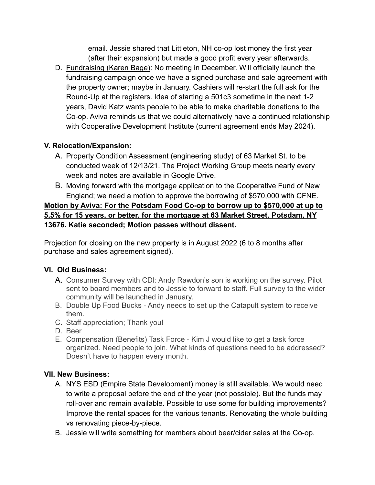email. Jessie shared that Littleton, NH co-op lost money the first year (after their expansion) but made a good profit every year afterwards.

D. Fundraising (Karen Bage): No meeting in December. Will officially launch the fundraising campaign once we have a signed purchase and sale agreement with the property owner; maybe in January. Cashiers will re-start the full ask for the Round-Up at the registers. Idea of starting a 501c3 sometime in the next 1-2 years, David Katz wants people to be able to make charitable donations to the Co-op. Aviva reminds us that we could alternatively have a continued relationship with Cooperative Development Institute (current agreement ends May 2024).

# **V. Relocation/Expansion:**

- A. Property Condition Assessment (engineering study) of 63 Market St. to be conducted week of 12/13/21. The Project Working Group meets nearly every week and notes are available in Google Drive.
- B. Moving forward with the mortgage application to the Cooperative Fund of New England; we need a motion to approve the borrowing of \$570,000 with CFNE.

**Motion by Aviva: For the Potsdam Food Co-op to borrow up to \$570,000 at up to 5.5% for 15 years, or better, for the mortgage at 63 Market Street, Potsdam, NY 13676. Katie seconded; Motion passes without dissent.**

Projection for closing on the new property is in August 2022 (6 to 8 months after purchase and sales agreement signed).

# **VI. Old Business:**

- A. Consumer Survey with CDI: Andy Rawdon's son is working on the survey. Pilot sent to board members and to Jessie to forward to staff. Full survey to the wider community will be launched in January.
- B. Double Up Food Bucks Andy needs to set up the Catapult system to receive them.
- C. Staff appreciation; Thank you!
- D. Beer
- E. Compensation (Benefits) Task Force Kim J would like to get a task force organized. Need people to join. What kinds of questions need to be addressed? Doesn't have to happen every month.

# **VII. New Business:**

- A. NYS ESD (Empire State Development) money is still available. We would need to write a proposal before the end of the year (not possible). But the funds may roll-over and remain available. Possible to use some for building improvements? Improve the rental spaces for the various tenants. Renovating the whole building vs renovating piece-by-piece.
- B. Jessie will write something for members about beer/cider sales at the Co-op.